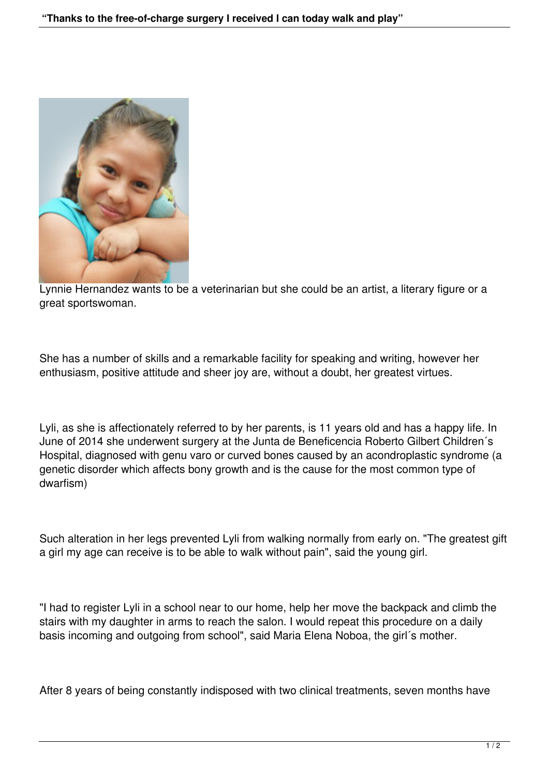

Lynnie Hernandez wants to be a veterinarian but she could be an artist, a literary figure or a great sportswoman.

She has a number of skills and a remarkable facility for speaking and writing, however her enthusiasm, positive attitude and sheer joy are, without a doubt, her greatest virtues.

Lyli, as she is affectionately referred to by her parents, is 11 years old and has a happy life. In June of 2014 she underwent surgery at the Junta de Beneficencia Roberto Gilbert Children´s Hospital, diagnosed with genu varo or curved bones caused by an acondroplastic syndrome (a genetic disorder which affects bony growth and is the cause for the most common type of dwarfism)

Such alteration in her legs prevented Lyli from walking normally from early on. "The greatest gift a girl my age can receive is to be able to walk without pain", said the young girl.

"I had to register Lyli in a school near to our home, help her move the backpack and climb the stairs with my daughter in arms to reach the salon. I would repeat this procedure on a daily basis incoming and outgoing from school", said Maria Elena Noboa, the girl´s mother.

After 8 years of being constantly indisposed with two clinical treatments, seven months have